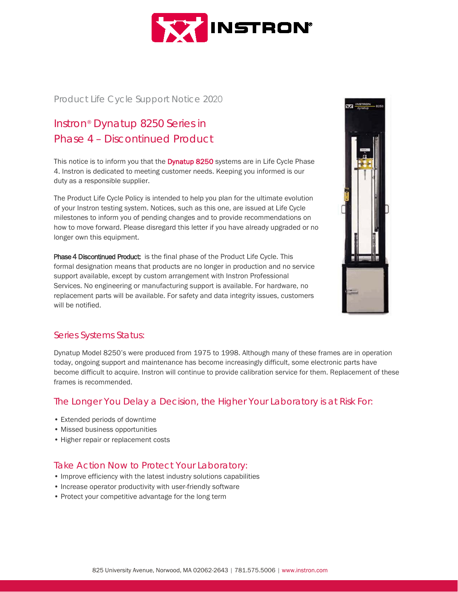

#### Product Life Cycle Support Notice 2020

# Instron® Dynatup 8250 Series in Phase 4 – Discontinued Product

This notice is to inform you that the **Dynatup 8250** systems are in Life Cycle Phase 4. Instron is dedicated to meeting customer needs. Keeping you informed is our duty as a responsible supplier.

The Product Life Cycle Policy is intended to help you plan for the ultimate evolution of your Instron testing system. Notices, such as this one, are issued at Life Cycle milestones to inform you of pending changes and to provide recommendations on how to move forward. Please disregard this letter if you have already upgraded or no longer own this equipment.

Phase 4 Discontinued Product: is the final phase of the Product Life Cycle. This formal designation means that products are no longer in production and no service support available, except by custom arrangement with Instron Professional Services. No engineering or manufacturing support is available. For hardware, no replacement parts will be available. For safety and data integrity issues, customers will be notified.



#### Series Systems Status:

Dynatup Model 8250's were produced from 1975 to 1998. Although many of these frames are in operation today, ongoing support and maintenance has become increasingly difficult, some electronic parts have become difficult to acquire. Instron will continue to provide calibration service for them. Replacement of these frames is recommended.

#### The Longer You Delay a Decision, the Higher Your Laboratory is at Risk For:

- Extended periods of downtime
- Missed business opportunities
- Higher repair or replacement costs

#### Take Action Now to Protect Your Laboratory:

- Improve efficiency with the latest industry solutions capabilities
- Increase operator productivity with user-friendly software
- Protect your competitive advantage for the long term